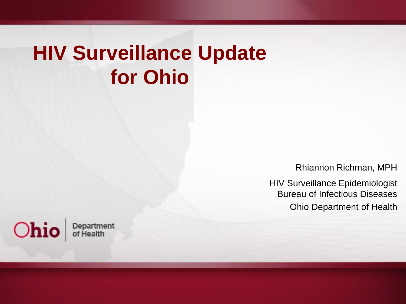#### **HIV Surveillance Update for Ohio**

Rhiannon Richman, MPH

HIV Surveillance Epidemiologist Bureau of Infectious Diseases Ohio Department of Health

Ohio Department of Health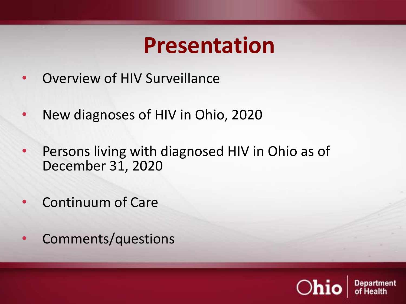#### **Presentation**

- Overview of HIV Surveillance
- New diagnoses of HIV in Ohio, 2020
- Persons living with diagnosed HIV in Ohio as of December 31, 2020
- Continuum of Care
- Comments/questions

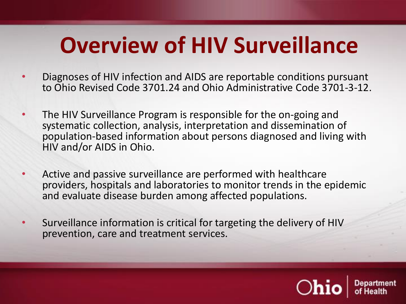# **Overview of HIV Surveillance**

- Diagnoses of HIV infection and AIDS are reportable conditions pursuant to Ohio Revised Code 3701.24 and Ohio Administrative Code 3701-3-12.
- The HIV Surveillance Program is responsible for the on-going and systematic collection, analysis, interpretation and dissemination of population-based information about persons diagnosed and living with HIV and/or AIDS in Ohio.
- Active and passive surveillance are performed with healthcare providers, hospitals and laboratories to monitor trends in the epidemic and evaluate disease burden among affected populations.
- Surveillance information is critical for targeting the delivery of HIV prevention, care and treatment services.

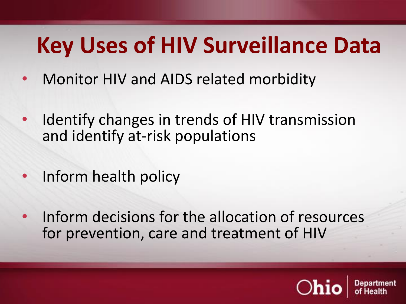# **Key Uses of HIV Surveillance Data**

- Monitor HIV and AIDS related morbidity
- Identify changes in trends of HIV transmission and identify at-risk populations
- Inform health policy
- Inform decisions for the allocation of resources for prevention, care and treatment of HIV

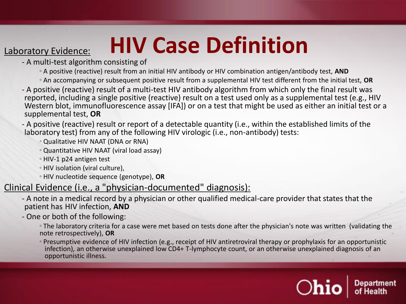# Laboratory Evidence: **HIV Case Definition**

- A multi-test algorithm consisting of
	- A positive (reactive) result from an initial HIV antibody or HIV combination antigen/antibody test, **AND**
	- An accompanying or subsequent positive result from a supplemental HIV test different from the initial test, **OR**
- A positive (reactive) result of a multi-test HIV antibody algorithm from which only the final result was reported, including a single positive (reactive) result on a test used only as a supplemental test (e.g., HIV Western blot, immunofluorescence assay [IFA]) or on a test that might be used as either an initial test or a supplemental test, **OR**

- A positive (reactive) result or report of a detectable quantity (i.e., within the established limits of the laboratory test) from any of the following HIV virologic (i.e., non-antibody) tests:

- Qualitative HIV NAAT (DNA or RNA)
- Quantitative HIV NAAT (viral load assay)
- HIV-1 p24 antigen test
- HIV isolation (viral culture),
- HIV nucleotide sequence (genotype), **OR**

#### Clinical Evidence (i.e., a "physician-documented" diagnosis):

- A note in a medical record by a physician or other qualified medical-care provider that states that the patient has HIV infection, **AND**
- One or both of the following:
	- The laboratory criteria for a case were met based on tests done after the physician's note was written (validating the note retrospectively), **OR**
	- Presumptive evidence of HIV infection (e.g., receipt of HIV antiretroviral therapy or prophylaxis for an opportunistic infection), an otherwise unexplained low CD4+ T-lymphocyte count, or an otherwise unexplained diagnosis of an opportunistic illness.

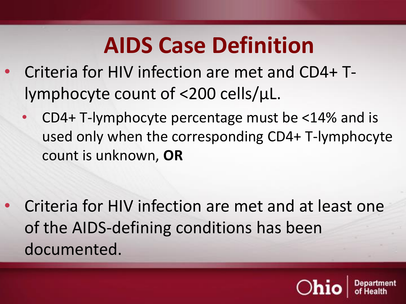# **AIDS Case Definition**

- Criteria for HIV infection are met and CD4+ Tlymphocyte count of <200 cells/µL.
	- CD4+ T-lymphocyte percentage must be  $<$ 14% and is used only when the corresponding CD4+ T-lymphocyte count is unknown, **OR**

• Criteria for HIV infection are met and at least one of the AIDS-defining conditions has been documented.

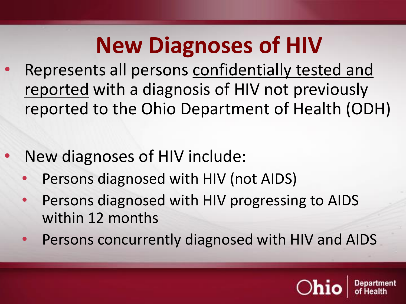- Represents all persons confidentially tested and reported with a diagnosis of HIV not previously reported to the Ohio Department of Health (ODH)
- New diagnoses of HIV include:
	- Persons diagnosed with HIV (not AIDS)
	- Persons diagnosed with HIV progressing to AIDS within 12 months
	- Persons concurrently diagnosed with HIV and AIDS

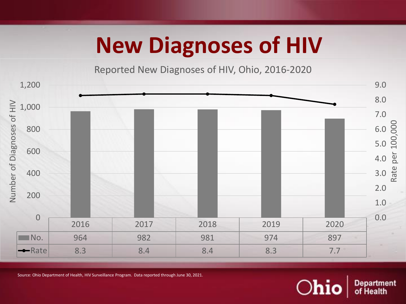Reported New Diagnoses of HIV, Ohio, 2016-2020



Source: Ohio Department of Health, HIV Surveillance Program. Data reported through June 30, 2021.

Department<br>of Health Ohio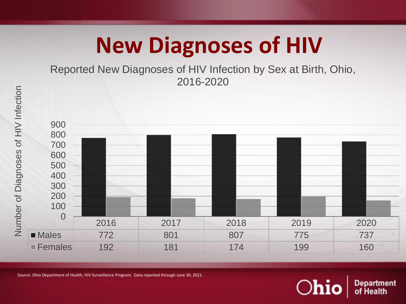Reported New Diagnoses of HIV Infection by Sex at Birth, Ohio, 2016-2020



Source: Ohio Department of Health, HIV Surveillance Program. Data reported through June 30, 2021.

 $O$ hi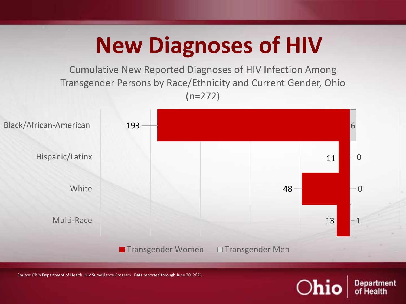Cumulative New Reported Diagnoses of HIV Infection Among Transgender Persons by Race/Ethnicity and Current Gender, Ohio (n=272)



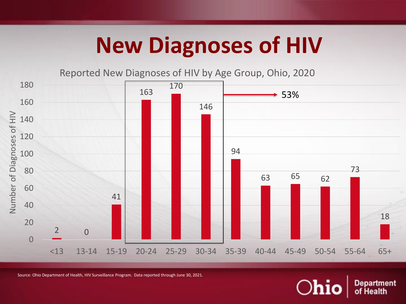Reported New Diagnoses of HIV by Age Group, Ohio, 2020



Source: Ohio Department of Health, HIV Surveillance Program. Data reported through June 30, 2021.

**Department** of Health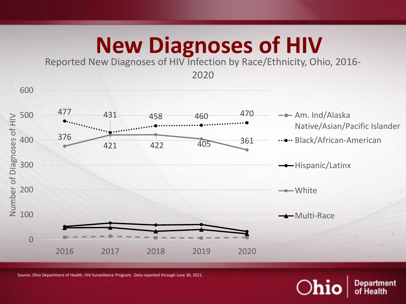Reported New Diagnoses of HIV Infection by Race/Ethnicity, Ohio, 2016-



Source: Ohio Department of Health, HIV Surveillance Program. Data reported through June 30, 2021.

 $O$ hi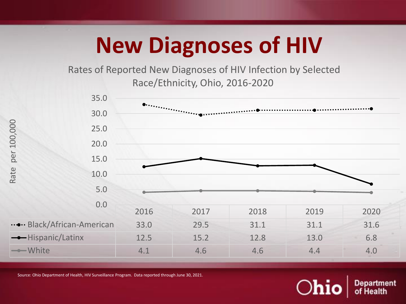Rates of Reported New Diagnoses of HIV Infection by Selected Race/Ethnicity, Ohio, 2016-2020



Source: Ohio Department of Health, HIV Surveillance Program. Data reported through June 30, 2021.

 $O$ hi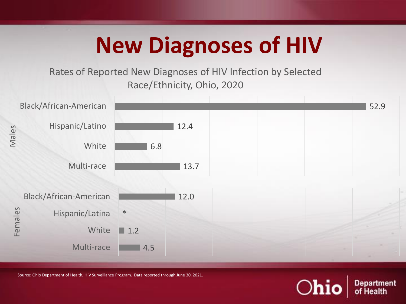Rates of Reported New Diagnoses of HIV Infection by Selected Race/Ethnicity, Ohio, 2020



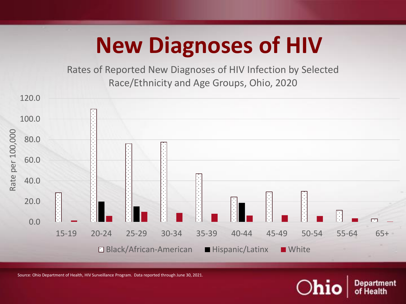Rates of Reported New Diagnoses of HIV Infection by Selected Race/Ethnicity and Age Groups, Ohio, 2020

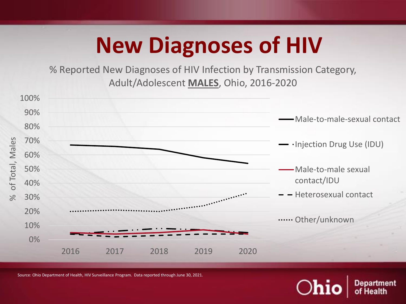% Reported New Diagnoses of HIV Infection by Transmission Category, Adult/Adolescent **MALES**, Ohio, 2016-2020



Source: Ohio Department of Health, HIV Surveillance Program. Data reported through June 30, 2021.

 $O$ hi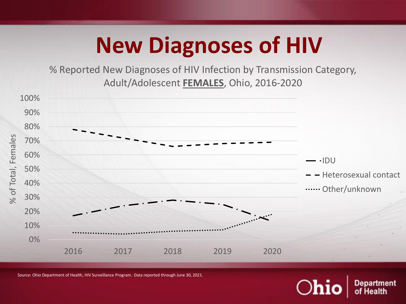% Reported New Diagnoses of HIV Infection by Transmission Category, Adult/Adolescent **FEMALES**, Ohio, 2016-2020



 $O$ hi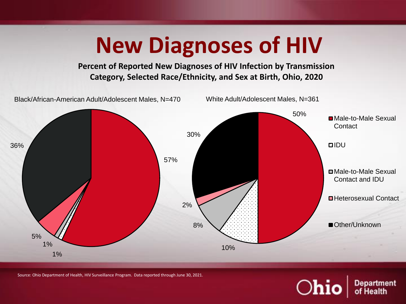#### 50% 10% 8% 2% 30% White Adult/Adolescent Males, N=361 ■Male-to-Male Sexual **Contact DIDU** Male-to-Male Sexual Contact and IDU ■Heterosexual Contact ■Other/Unknown **New Diagnoses of HIV Percent of Reported New Diagnoses of HIV Infection by Transmission Category, Selected Race/Ethnicity, and Sex at Birth, Ohio, 2020** 57% 1% 1% 5% 36% Black/African-American Adult/Adolescent Males, N=470

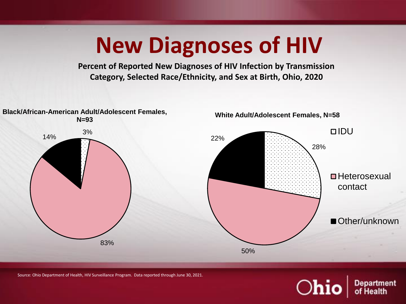**Percent of Reported New Diagnoses of HIV Infection by Transmission Category, Selected Race/Ethnicity, and Sex at Birth, Ohio, 2020**



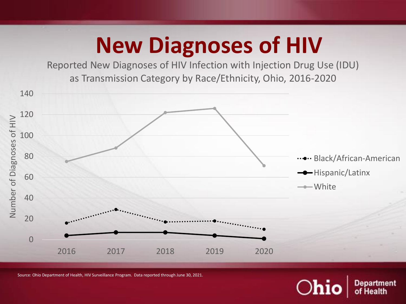Reported New Diagnoses of HIV Infection with Injection Drug Use (IDU) as Transmission Category by Race/Ethnicity, Ohio, 2016-2020



 $O$ hi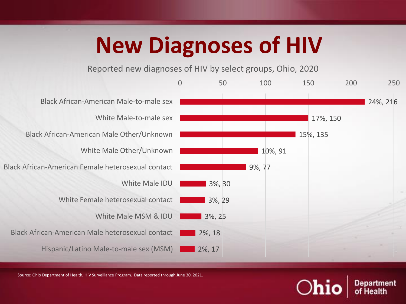Reported new diagnoses of HIV by select groups, Ohio, 2020



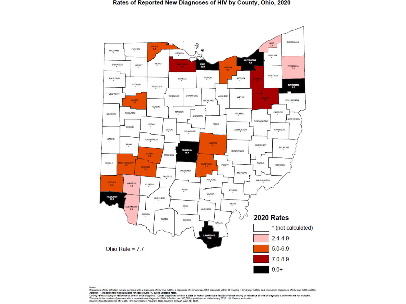

#### Notes:

Diagnoses of HIV infection include persons with a diagnosis of HIV (not AIDS), a diagnosis of HIV and an AIDS diagnosis within 12 months (HIV & later AIDS), and concurrent diagnoses of HIV and AIDS (AIDS). Asterisk (\*) indicates rate not calculated for case counts <5 due to unstable rates.

County reflects county of residence at time of initial diagnosis. Cases diagnosed while in a state or federal correctional facility or whose county of residence at time of diagnosis is unknown are not included.<br>The rate is Source: Ohio Department of Health, HIV Surveillance Program. Data reported through June 30, 2021.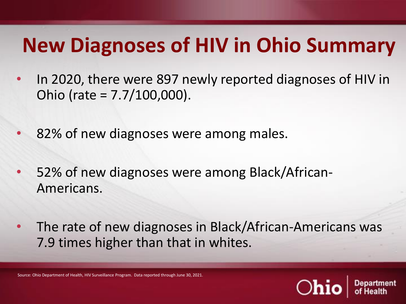#### **New Diagnoses of HIV in Ohio Summary**

- In 2020, there were 897 newly reported diagnoses of HIV in Ohio (rate = 7.7/100,000).
- 82% of new diagnoses were among males.
- 52% of new diagnoses were among Black/African-Americans.
- The rate of new diagnoses in Black/African-Americans was 7.9 times higher than that in whites.

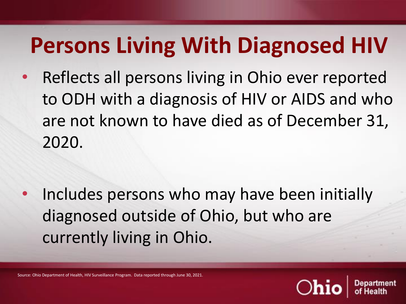# **Persons Living With Diagnosed HIV**

• Reflects all persons living in Ohio ever reported to ODH with a diagnosis of HIV or AIDS and who are not known to have died as of December 31, 2020.

Includes persons who may have been initially diagnosed outside of Ohio, but who are currently living in Ohio.

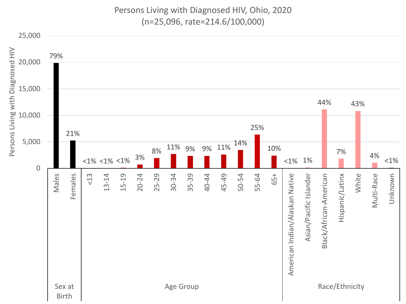Persons Living with Diagnosed HIV, Ohio, 2020 (n=25,096, rate=214.6/100,000)

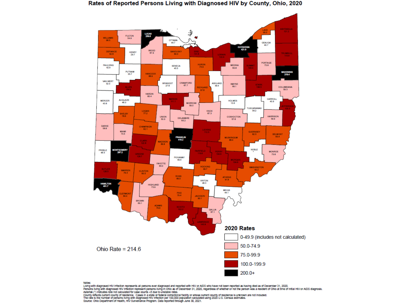#### Rates of Reported Persons Living with Diagnosed HIV by County, Ohio, 2020



#### Notes:

invess.<br>Living with diagnosed HIV infection represents all persons ever diagnosed and reported with HIV or AIDS who have not been reported as having died as of December 31, 2020.<br>Persons living with diagnosed HIV infection

County reflects current county of residence. Cases in a state or federal correctional facility or whose current county of residence is unknown are not included.<br>The rate is the number of persons living with diagnosed HIV i Source: Ohio Department of Health, HIV Surveillance Program. Data reported through June 30, 2021.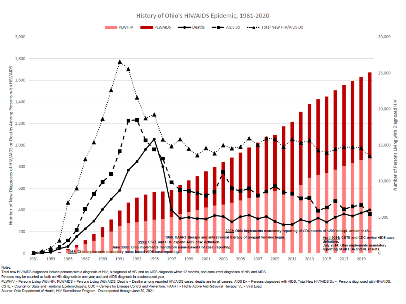History of Ohio's HIV/AIDS Epidemic, 1981-2020



Notes:

Total new HIV/AIDS diagnoses include persons with a diagnosis of HIV, a diagnosis of HIV and an AIDS diagnosis within 12 months, and concurrent diagnoses of HIV and AIDS.

Persons may be counted as both an HIV diagnosis in one year and and AIDS diagnosis in a subsequent year.

PLWHIV = Persons Living With HIV; PLWAIDS = Persons Living With AIDS; Deaths = Deaths among reported HIV/AIDS cases; deaths are for all causes; AIDS Dx = Persons diagnosed with AIDS; Total New HIV/AIDS Dx = Persons diagnos CSTE = Council for State and Territorial Epidemiologists; CDC = Centers for Disease Control and Prevention; HAART = Highly Active AntiRetroviral Therapy; VL = Viral Load.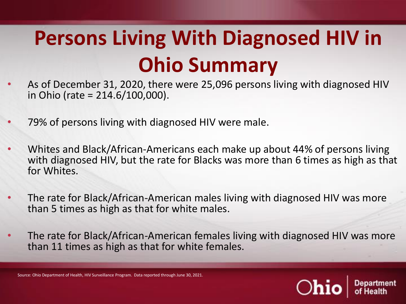# **Persons Living With Diagnosed HIV in Ohio Summary**

- As of December 31, 2020, there were 25,096 persons living with diagnosed HIV in Ohio (rate = 214.6/100,000).
- 79% of persons living with diagnosed HIV were male.
- Whites and Black/African-Americans each make up about 44% of persons living with diagnosed HIV, but the rate for Blacks was more than 6 times as high as that for Whites.
- The rate for Black/African-American males living with diagnosed HIV was more than 5 times as high as that for white males.
- The rate for Black/African-American females living with diagnosed HIV was more than 11 times as high as that for white females.

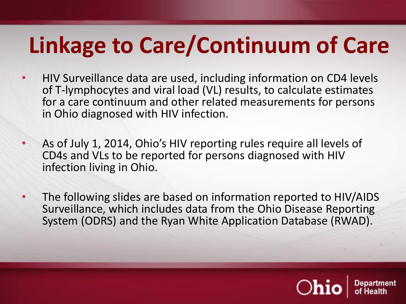# **Linkage to Care/Continuum of Care**

- HIV Surveillance data are used, including information on CD4 levels of T-lymphocytes and viral load (VL) results, to calculate estimates for a care continuum and other related measurements for persons in Ohio diagnosed with HIV infection.
- As of July 1, 2014, Ohio's HIV reporting rules require all levels of CD4s and VLs to be reported for persons diagnosed with HIV infection living in Ohio.
- The following slides are based on information reported to HIV/AIDS Surveillance, which includes data from the Ohio Disease Reporting System (ODRS) and the Ryan White Application Database (RWAD).

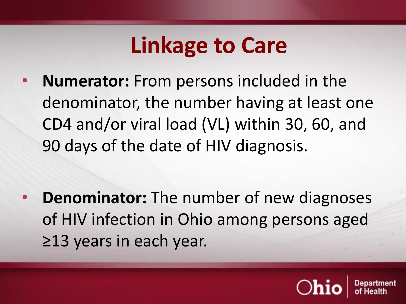• **Numerator:** From persons included in the denominator, the number having at least one CD4 and/or viral load (VL) within 30, 60, and 90 days of the date of HIV diagnosis.

• **Denominator:** The number of new diagnoses of HIV infection in Ohio among persons aged ≥13 years in each year.

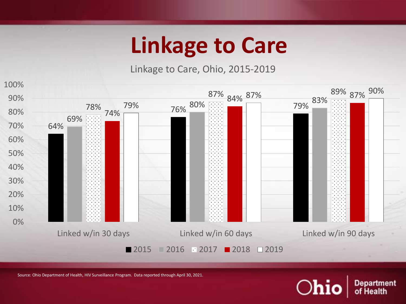Linkage to Care, Ohio, 2015-2019



Source: Ohio Department of Health, HIV Surveillance Program. Data reported through April 30, 2021.

 $O$ hio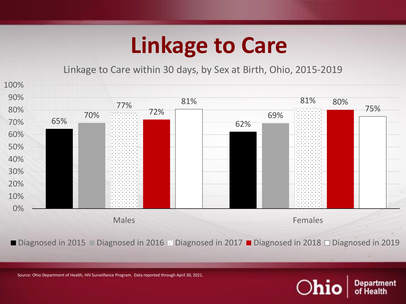Linkage to Care within 30 days, by Sex at Birth, Ohio, 2015-2019



■ Diagnosed in 2015 ■ Diagnosed in 2016 ■ Diagnosed in 2017 ■ Diagnosed in 2018 □ Diagnosed in 2019

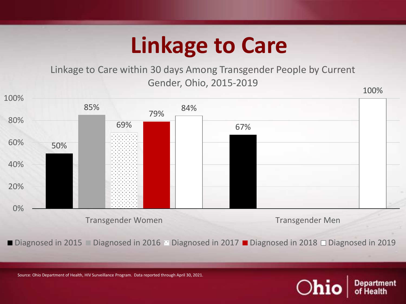Linkage to Care within 30 days Among Transgender People by Current Gender, Ohio, 2015-2019



■ Diagnosed in 2015 ■ Diagnosed in 2016 Diagnosed in 2017 ■ Diagnosed in 2018 □ Diagnosed in 2019

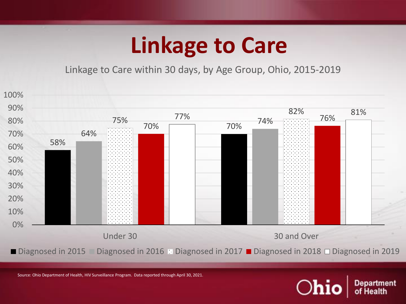Linkage to Care within 30 days, by Age Group, Ohio, 2015-2019



 $O$ hi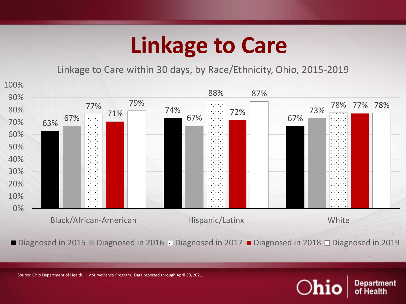Linkage to Care within 30 days, by Race/Ethnicity, Ohio, 2015-2019



■ Diagnosed in 2015 ■ Diagnosed in 2016 ■ Diagnosed in 2017 ■ Diagnosed in 2018 □ Diagnosed in 2019

 $O$ hi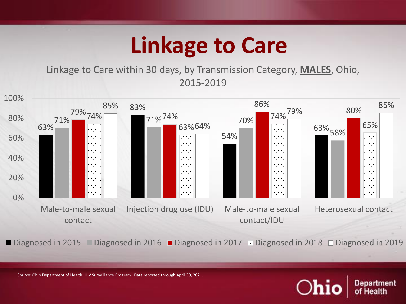Linkage to Care within 30 days, by Transmission Category, **MALES**, Ohio, 2015-2019



■ Diagnosed in 2015 ■ Diagnosed in 2016 ■ Diagnosed in 2017 Diagnosed in 2018 □ Diagnosed in 2019

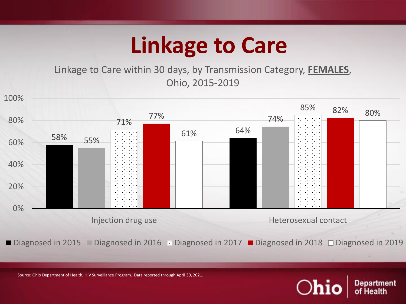Linkage to Care within 30 days, by Transmission Category, **FEMALES**, Ohio, 2015-2019



■ Diagnosed in 2015 ■ Diagnosed in 2016 Diagnosed in 2017 ■ Diagnosed in 2018 □ Diagnosed in 2019

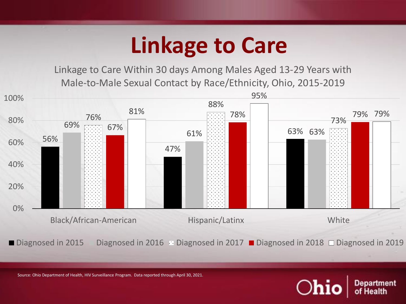Linkage to Care Within 30 days Among Males Aged 13-29 Years with Male-to-Male Sexual Contact by Race/Ethnicity, Ohio, 2015-2019



■ Diagnosed in 2015 Diagnosed in 2016 Diagnosed in 2017 ■ Diagnosed in 2018 □ Diagnosed in 2019

 $\bigcirc$ hi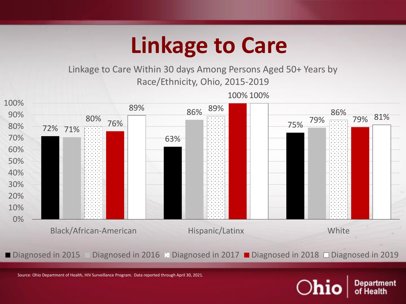Linkage to Care Within 30 days Among Persons Aged 50+ Years by Race/Ethnicity, Ohio, 2015-2019



■ Diagnosed in 2015 Diagnosed in 2016 Diagnosed in 2017 ■ Diagnosed in 2018 □ Diagnosed in 2019

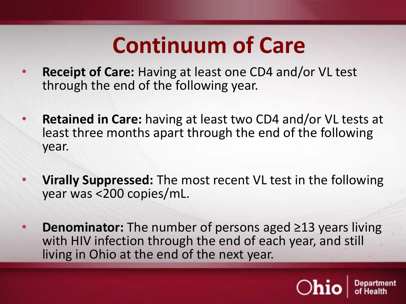- **Receipt of Care:** Having at least one CD4 and/or VL test through the end of the following year.
- **Retained in Care:** having at least two CD4 and/or VL tests at least three months apart through the end of the following year.
- **Virally Suppressed:** The most recent VL test in the following year was <200 copies/mL.
- **Denominator:** The number of persons aged ≥13 years living with HIV infection through the end of each year, and still living in Ohio at the end of the next year.

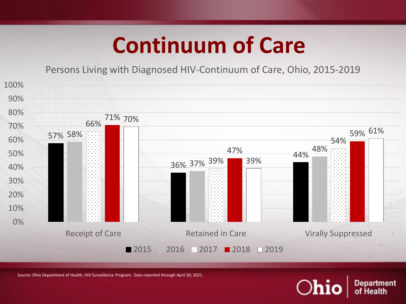Persons Living with Diagnosed HIV-Continuum of Care, Ohio, 2015-2019



Source: Ohio Department of Health, HIV Surveillance Program. Data reported through April 30, 2021.

 $O$ hi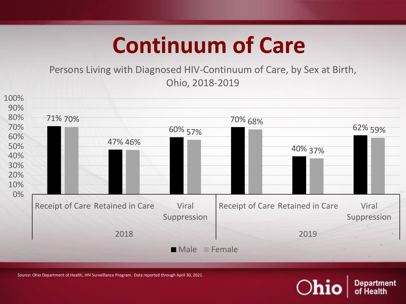Persons Living with Diagnosed HIV-Continuum of Care, by Sex at Birth, Ohio, 2018-2019



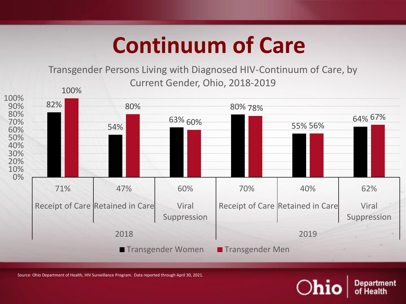#### Transgender Persons Living with Diagnosed HIV-Continuum of Care, by Current Gender, Ohio, 2018-2019



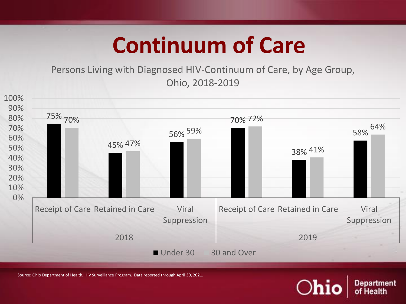Persons Living with Diagnosed HIV-Continuum of Care, by Age Group, Ohio, 2018-2019



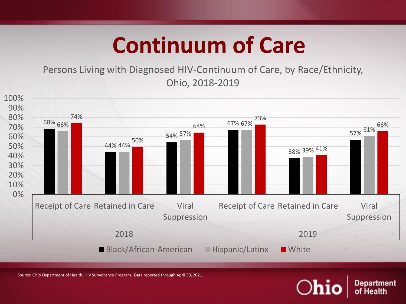Persons Living with Diagnosed HIV-Continuum of Care, by Race/Ethnicity, Ohio, 2018-2019



Source: Ohio Department of Health, HIV Surveillance Program. Data reported through April 30, 2021.

 $\bigcirc$ hi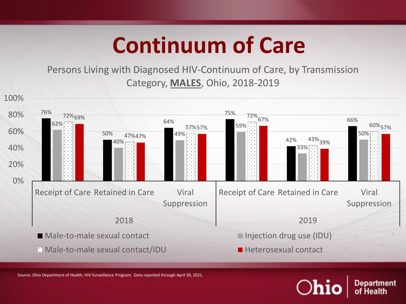Persons Living with Diagnosed HIV-Continuum of Care, by Transmission Category, **MALES**, Ohio, 2018-2019



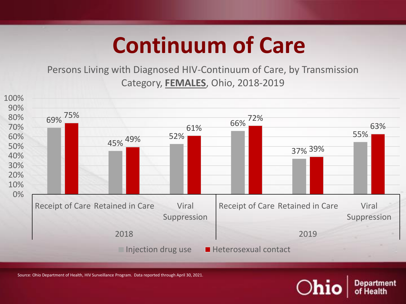Persons Living with Diagnosed HIV-Continuum of Care, by Transmission Category, **FEMALES**, Ohio, 2018-2019



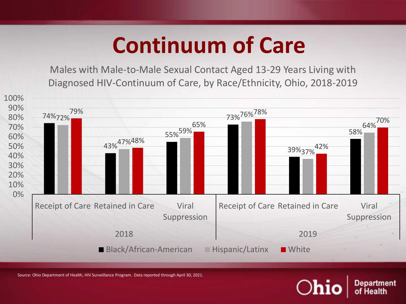Males with Male-to-Male Sexual Contact Aged 13-29 Years Living with Diagnosed HIV-Continuum of Care, by Race/Ethnicity, Ohio, 2018-2019

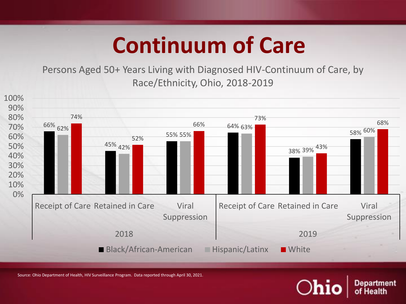Persons Aged 50+ Years Living with Diagnosed HIV-Continuum of Care, by Race/Ethnicity, Ohio, 2018-2019



 $\bigcirc$ h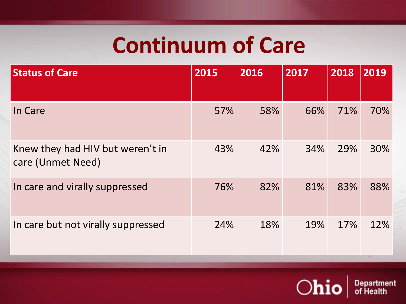| <b>Status of Care</b>                                 | 2015 | 2016 | 2017 | 2018 | 2019 |
|-------------------------------------------------------|------|------|------|------|------|
| In Care                                               | 57%  | 58%  | 66%  | 71%  | 70%  |
| Knew they had HIV but weren't in<br>care (Unmet Need) | 43%  | 42%  | 34%  | 29%  | 30%  |
| In care and virally suppressed                        | 76%  | 82%  | 81%  | 83%  | 88%  |
| In care but not virally suppressed                    | 24%  | 18%  | 19%  | 17%  | 12%  |

 $|Ohio|$ 

Department<br>of Health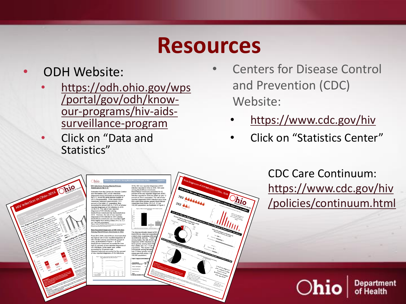#### **Resources**

#### • ODH Website:

- [https://odh.ohio.gov/wps](https://odh.ohio.gov/wps/portal/gov/odh/know-our-programs/hiv-aids-surveillance-program) /portal/gov/odh/knowour-programs/hiv-aidssurveillance-program
- Click on "Data and Statistics"

**HIV Infections Among Blacks/Africa** 

wimately 13.5  $= 17.670$ ) of all

- Centers for Disease Control and Prevention (CDC) Website:
	- <https://www.cdc.gov/hiv>
	- Click on "Statistics Center"

CDC Care Continuum: [https://www.cdc.gov/hiv](https://www.cdc.gov/hiv/policies/continuum.html) /policies/continuum.html